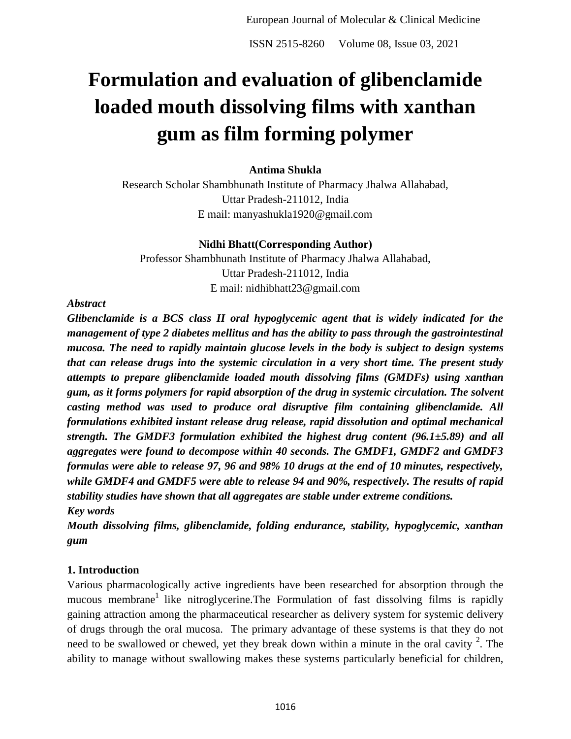ISSN 2515-8260 Volume 08, Issue 03, 2021

# **Formulation and evaluation of glibenclamide loaded mouth dissolving films with xanthan gum as film forming polymer**

#### **Antima Shukla**

Research Scholar Shambhunath Institute of Pharmacy Jhalwa Allahabad, Uttar Pradesh-211012, India E mail: manyashukla1920@gmail.com

#### **Nidhi Bhatt(Corresponding Author)**

Professor Shambhunath Institute of Pharmacy Jhalwa Allahabad, Uttar Pradesh-211012, India E mail: nidhibhatt23@gmail.com

#### *Abstract*

*Glibenclamide is a BCS class II oral hypoglycemic agent that is widely indicated for the management of type 2 diabetes mellitus and has the ability to pass through the gastrointestinal mucosa. The need to rapidly maintain glucose levels in the body is subject to design systems that can release drugs into the systemic circulation in a very short time. The present study attempts to prepare glibenclamide loaded mouth dissolving films (GMDFs) using xanthan gum, as it forms polymers for rapid absorption of the drug in systemic circulation. The solvent casting method was used to produce oral disruptive film containing glibenclamide. All formulations exhibited instant release drug release, rapid dissolution and optimal mechanical strength. The GMDF3 formulation exhibited the highest drug content (96.1±5.89) and all aggregates were found to decompose within 40 seconds. The GMDF1, GMDF2 and GMDF3 formulas were able to release 97, 96 and 98% 10 drugs at the end of 10 minutes, respectively, while GMDF4 and GMDF5 were able to release 94 and 90%, respectively. The results of rapid stability studies have shown that all aggregates are stable under extreme conditions. Key words*

*Mouth dissolving films, glibenclamide, folding endurance, stability, hypoglycemic, xanthan gum*

#### **1. Introduction**

Various pharmacologically active ingredients have been researched for absorption through the mucous membrane<sup>1</sup> like nitroglycerine. The Formulation of fast dissolving films is rapidly gaining attraction among the pharmaceutical researcher as delivery system for systemic delivery of drugs through the oral mucosa. The primary advantage of these systems is that they do not need to be swallowed or chewed, yet they break down within a minute in the oral cavity  $2$ . The ability to manage without swallowing makes these systems particularly beneficial for children,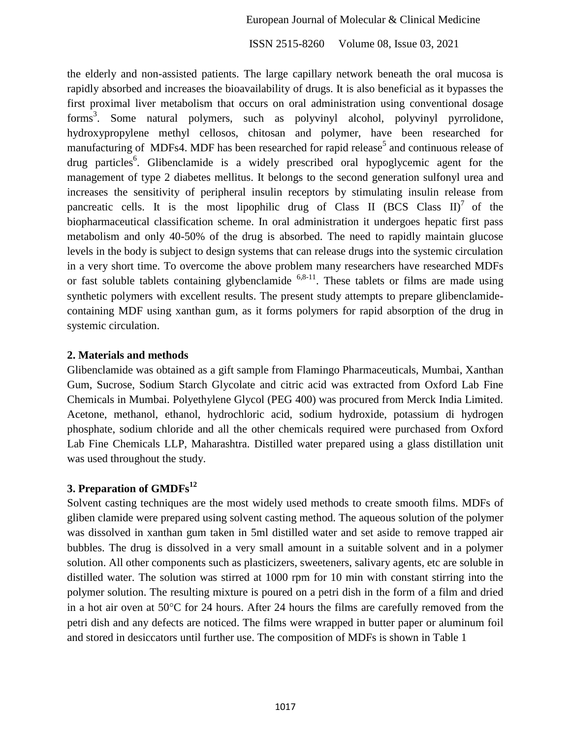ISSN 2515-8260 Volume 08, Issue 03, 2021

the elderly and non-assisted patients. The large capillary network beneath the oral mucosa is rapidly absorbed and increases the bioavailability of drugs. It is also beneficial as it bypasses the first proximal liver metabolism that occurs on oral administration using conventional dosage forms<sup>3</sup>. Some natural polymers, such as polyvinyl alcohol, polyvinyl pyrrolidone, hydroxypropylene methyl cellosos, chitosan and polymer, have been researched for manufacturing of MDFs4. MDF has been researched for rapid release<sup>5</sup> and continuous release of drug particles<sup>6</sup>. Glibenclamide is a widely prescribed oral hypoglycemic agent for the management of type 2 diabetes mellitus. It belongs to the second generation sulfonyl urea and increases the sensitivity of peripheral insulin receptors by stimulating insulin release from pancreatic cells. It is the most lipophilic drug of Class II (BCS Class II)<sup>7</sup> of the biopharmaceutical classification scheme. In oral administration it undergoes hepatic first pass metabolism and only 40-50% of the drug is absorbed. The need to rapidly maintain glucose levels in the body is subject to design systems that can release drugs into the systemic circulation in a very short time. To overcome the above problem many researchers have researched MDFs or fast soluble tablets containing glybenclamide  $6,8-11$ . These tablets or films are made using synthetic polymers with excellent results. The present study attempts to prepare glibenclamidecontaining MDF using xanthan gum, as it forms polymers for rapid absorption of the drug in systemic circulation.

#### **2. Materials and methods**

Glibenclamide was obtained as a gift sample from Flamingo Pharmaceuticals, Mumbai, Xanthan Gum, Sucrose, Sodium Starch Glycolate and citric acid was extracted from Oxford Lab Fine Chemicals in Mumbai. Polyethylene Glycol (PEG 400) was procured from Merck India Limited. Acetone, methanol, ethanol, hydrochloric acid, sodium hydroxide, potassium di hydrogen phosphate, sodium chloride and all the other chemicals required were purchased from Oxford Lab Fine Chemicals LLP, Maharashtra. Distilled water prepared using a glass distillation unit was used throughout the study.

## **3. Preparation of GMDFs<sup>12</sup>**

Solvent casting techniques are the most widely used methods to create smooth films. MDFs of gliben clamide were prepared using solvent casting method. The aqueous solution of the polymer was dissolved in xanthan gum taken in 5ml distilled water and set aside to remove trapped air bubbles. The drug is dissolved in a very small amount in a suitable solvent and in a polymer solution. All other components such as plasticizers, sweeteners, salivary agents, etc are soluble in distilled water. The solution was stirred at 1000 rpm for 10 min with constant stirring into the polymer solution. The resulting mixture is poured on a petri dish in the form of a film and dried in a hot air oven at  $50^{\circ}$ C for 24 hours. After 24 hours the films are carefully removed from the petri dish and any defects are noticed. The films were wrapped in butter paper or aluminum foil and stored in desiccators until further use. The composition of MDFs is shown in Table 1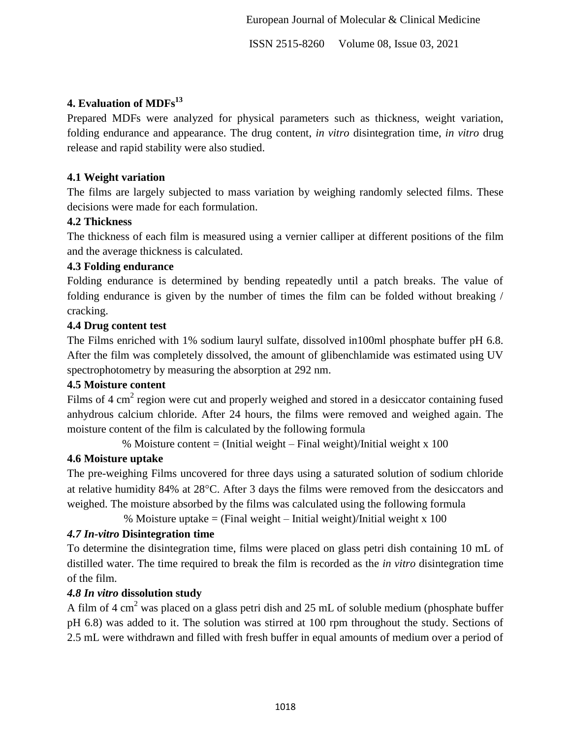ISSN 2515-8260 Volume 08, Issue 03, 2021

## **4. Evaluation of MDFs<sup>13</sup>**

Prepared MDFs were analyzed for physical parameters such as thickness, weight variation, folding endurance and appearance. The drug content, *in vitro* disintegration time, *in vitro* drug release and rapid stability were also studied.

#### **4.1 Weight variation**

The films are largely subjected to mass variation by weighing randomly selected films. These decisions were made for each formulation.

#### **4.2 Thickness**

The thickness of each film is measured using a vernier calliper at different positions of the film and the average thickness is calculated.

#### **4.3 Folding endurance**

Folding endurance is determined by bending repeatedly until a patch breaks. The value of folding endurance is given by the number of times the film can be folded without breaking / cracking.

#### **4.4 Drug content test**

The Films enriched with 1% sodium lauryl sulfate, dissolved in100ml phosphate buffer pH 6.8. After the film was completely dissolved, the amount of glibenchlamide was estimated using UV spectrophotometry by measuring the absorption at 292 nm.

#### **4.5 Moisture content**

Films of 4 cm<sup>2</sup> region were cut and properly weighed and stored in a desiccator containing fused anhydrous calcium chloride. After 24 hours, the films were removed and weighed again. The moisture content of the film is calculated by the following formula

% Moisture content = (Initial weight – Final weight)/Initial weight  $x$  100

#### **4.6 Moisture uptake**

The pre-weighing Films uncovered for three days using a saturated solution of sodium chloride at relative humidity 84% at 28°C. After 3 days the films were removed from the desiccators and weighed. The moisture absorbed by the films was calculated using the following formula

% Moisture uptake  $=$  (Final weight – Initial weight)/Initial weight x 100

## *4.7 In-vitro* **Disintegration time**

To determine the disintegration time, films were placed on glass petri dish containing 10 mL of distilled water. The time required to break the film is recorded as the *in vitro* disintegration time of the film.

## *4.8 In vitro* **dissolution study**

A film of 4 cm<sup>2</sup> was placed on a glass petri dish and 25 mL of soluble medium (phosphate buffer pH 6.8) was added to it. The solution was stirred at 100 rpm throughout the study. Sections of 2.5 mL were withdrawn and filled with fresh buffer in equal amounts of medium over a period of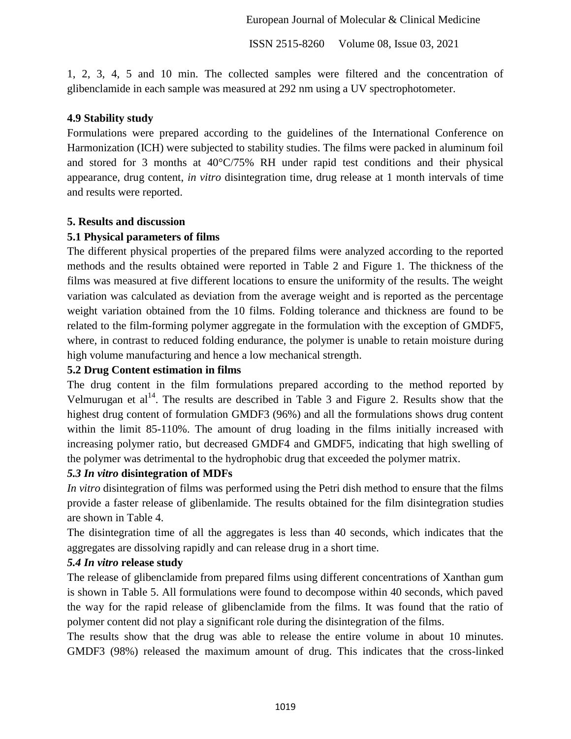ISSN 2515-8260 Volume 08, Issue 03, 2021

1, 2, 3, 4, 5 and 10 min. The collected samples were filtered and the concentration of glibenclamide in each sample was measured at 292 nm using a UV spectrophotometer.

#### **4.9 Stability study**

Formulations were prepared according to the guidelines of the International Conference on Harmonization (ICH) were subjected to stability studies. The films were packed in aluminum foil and stored for 3 months at 40°C/75% RH under rapid test conditions and their physical appearance, drug content, *in vitro* disintegration time, drug release at 1 month intervals of time and results were reported.

#### **5. Results and discussion**

#### **5.1 Physical parameters of films**

The different physical properties of the prepared films were analyzed according to the reported methods and the results obtained were reported in Table 2 and Figure 1. The thickness of the films was measured at five different locations to ensure the uniformity of the results. The weight variation was calculated as deviation from the average weight and is reported as the percentage weight variation obtained from the 10 films. Folding tolerance and thickness are found to be related to the film-forming polymer aggregate in the formulation with the exception of GMDF5, where, in contrast to reduced folding endurance, the polymer is unable to retain moisture during high volume manufacturing and hence a low mechanical strength.

#### **5.2 Drug Content estimation in films**

The drug content in the film formulations prepared according to the method reported by Velmurugan et  $al<sup>14</sup>$ . The results are described in Table 3 and Figure 2. Results show that the highest drug content of formulation GMDF3 (96%) and all the formulations shows drug content within the limit 85-110%. The amount of drug loading in the films initially increased with increasing polymer ratio, but decreased GMDF4 and GMDF5, indicating that high swelling of the polymer was detrimental to the hydrophobic drug that exceeded the polymer matrix.

#### *5.3 In vitro* **disintegration of MDFs**

*In vitro* disintegration of films was performed using the Petri dish method to ensure that the films provide a faster release of glibenlamide. The results obtained for the film disintegration studies are shown in Table 4.

The disintegration time of all the aggregates is less than 40 seconds, which indicates that the aggregates are dissolving rapidly and can release drug in a short time.

#### *5.4 In vitro* **release study**

The release of glibenclamide from prepared films using different concentrations of Xanthan gum is shown in Table 5. All formulations were found to decompose within 40 seconds, which paved the way for the rapid release of glibenclamide from the films. It was found that the ratio of polymer content did not play a significant role during the disintegration of the films.

The results show that the drug was able to release the entire volume in about 10 minutes. GMDF3 (98%) released the maximum amount of drug. This indicates that the cross-linked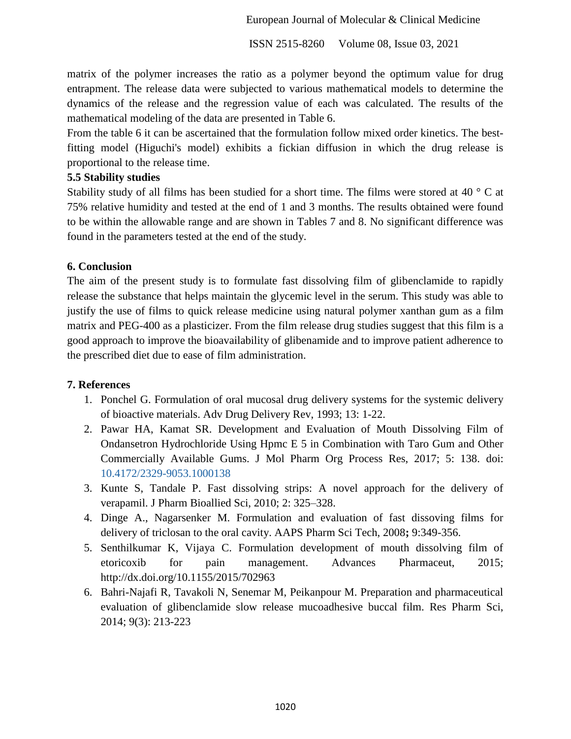ISSN 2515-8260 Volume 08, Issue 03, 2021

matrix of the polymer increases the ratio as a polymer beyond the optimum value for drug entrapment. The release data were subjected to various mathematical models to determine the dynamics of the release and the regression value of each was calculated. The results of the mathematical modeling of the data are presented in Table 6.

From the table 6 it can be ascertained that the formulation follow mixed order kinetics. The bestfitting model (Higuchi's model) exhibits a fickian diffusion in which the drug release is proportional to the release time.

#### **5.5 Stability studies**

Stability study of all films has been studied for a short time. The films were stored at 40 ° C at 75% relative humidity and tested at the end of 1 and 3 months. The results obtained were found to be within the allowable range and are shown in Tables 7 and 8. No significant difference was found in the parameters tested at the end of the study.

#### **6. Conclusion**

The aim of the present study is to formulate fast dissolving film of glibenclamide to rapidly release the substance that helps maintain the glycemic level in the serum. This study was able to justify the use of films to quick release medicine using natural polymer xanthan gum as a film matrix and PEG-400 as a plasticizer. From the film release drug studies suggest that this film is a good approach to improve the bioavailability of glibenamide and to improve patient adherence to the prescribed diet due to ease of film administration.

#### **7. References**

- 1. Ponchel G. Formulation of oral mucosal drug delivery systems for the systemic delivery of bioactive materials. Adv Drug Delivery Rev, 1993; 13: 1-22.
- 2. Pawar HA, Kamat SR. Development and Evaluation of Mouth Dissolving Film of Ondansetron Hydrochloride Using Hpmc E 5 in Combination with Taro Gum and Other Commercially Available Gums. J Mol Pharm Org Process Res, 2017; 5: 138. doi: 10.4172/2329-9053.1000138
- 3. Kunte S, Tandale P. Fast dissolving strips: A novel approach for the delivery of verapamil. J Pharm Bioallied Sci, 2010; 2: 325–328.
- 4. Dinge A., Nagarsenker M. Formulation and evaluation of fast dissoving films for delivery of triclosan to the oral cavity. AAPS Pharm Sci Tech, 2008**;** 9:349-356.
- 5. Senthilkumar K, Vijaya C. Formulation development of mouth dissolving film of etoricoxib for pain management. Advances Pharmaceut, 2015; http://dx.doi.org/10.1155/2015/702963
- 6. Bahri-Najafi R, Tavakoli N, Senemar M, Peikanpour M. Preparation and pharmaceutical evaluation of glibenclamide slow release mucoadhesive buccal film. Res Pharm Sci, 2014; 9(3): 213-223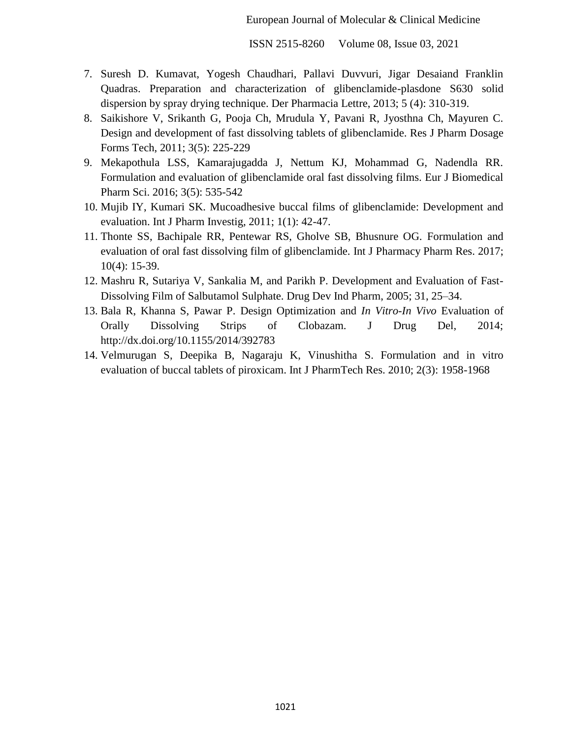ISSN 2515-8260 Volume 08, Issue 03, 2021

- 7. Suresh D. Kumavat, Yogesh Chaudhari, Pallavi Duvvuri, Jigar Desaiand Franklin Quadras. Preparation and characterization of glibenclamide-plasdone S630 solid dispersion by spray drying technique. Der Pharmacia Lettre, 2013; 5 (4): 310-319.
- 8. Saikishore V, Srikanth G, Pooja Ch, Mrudula Y, Pavani R, Jyosthna Ch, Mayuren C. Design and development of fast dissolving tablets of glibenclamide. Res J Pharm Dosage Forms Tech, 2011; 3(5): 225-229
- 9. Mekapothula LSS, Kamarajugadda J, Nettum KJ, Mohammad G, Nadendla RR. Formulation and evaluation of glibenclamide oral fast dissolving films. Eur J Biomedical Pharm Sci. 2016; 3(5): 535-542
- 10. Mujib IY, Kumari SK. Mucoadhesive buccal films of glibenclamide: Development and evaluation. Int J Pharm Investig, 2011; 1(1): 42-47.
- 11. Thonte SS, Bachipale RR, Pentewar RS, Gholve SB, Bhusnure OG. Formulation and evaluation of oral fast dissolving film of glibenclamide. Int J Pharmacy Pharm Res. 2017; 10(4): 15-39.
- 12. Mashru R, Sutariya V, Sankalia M, and Parikh P. Development and Evaluation of Fast-Dissolving Film of Salbutamol Sulphate. Drug Dev Ind Pharm, 2005; 31, 25–34.
- 13. Bala R, Khanna S, Pawar P. Design Optimization and *In Vitro*-*In Vivo* Evaluation of Orally Dissolving Strips of Clobazam. J Drug Del, 2014; http://dx.doi.org/10.1155/2014/392783
- 14. Velmurugan S, Deepika B, Nagaraju K, Vinushitha S. Formulation and in vitro evaluation of buccal tablets of piroxicam. Int J PharmTech Res. 2010; 2(3): 1958-1968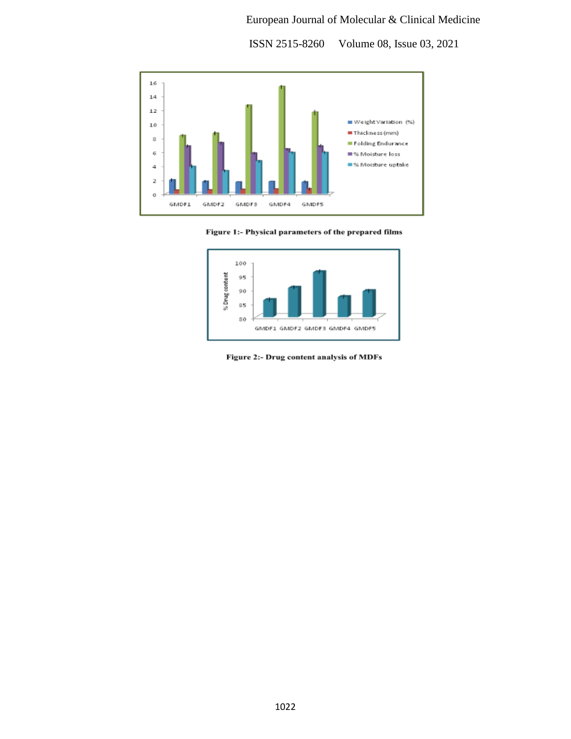ISSN 2515-8260 Volume 08, Issue 03, 2021







Figure 2:- Drug content analysis of MDFs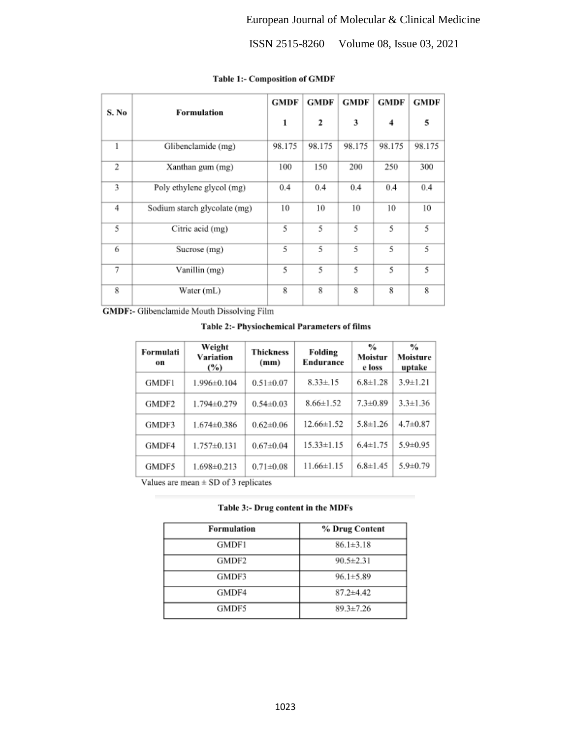ISSN 2515-8260 Volume 08, Issue 03, 2021

| S. No          | <b>Formulation</b>           | <b>GMDF</b> | <b>GMDF</b> | <b>GMDF</b> | <b>GMDF</b> | <b>GMDF</b> |
|----------------|------------------------------|-------------|-------------|-------------|-------------|-------------|
|                |                              | 1           | 2           | 3           | 4           | 5           |
| 1              | Glibenclamide (mg)           | 98.175      | 98.175      | 98.175      | 98.175      | 98.175      |
| $\overline{2}$ | Xanthan gum (mg)             | 100         | 150         | 200         | 250         | 300         |
| 3              | Poly ethylene glycol (mg)    | 0.4         | 0.4         | 0.4         | 0.4         | 0.4         |
| 4              | Sodium starch glycolate (mg) | 10          | 10          | 10          | 10          | 10          |
| 5              | Citric acid (mg)             | 5           | 5           | 5           | 5           | 5           |
| 6              | Sucrose (mg)                 | 5           | 5           | 5           | 5           | 5           |
| 7              | Vanillin (mg)                | 5           | 5           | 5           | 5           | 5           |
| 8              | Water (mL)                   | 8           | 8           | 8           | 8           | 8           |

#### Table 1:- Composition of GMDF

GMDF:- Glibenclamide Mouth Dissolving Film

#### Table 2:- Physiochemical Parameters of films

| Formulati<br>on | Weight<br>Variation<br>$(\%)$ | <b>Thickness</b><br>(mm) | Folding<br><b>Endurance</b> | $\frac{0}{6}$<br>Moistur<br>e loss | $\frac{6}{6}$<br>Moisture<br>uptake |
|-----------------|-------------------------------|--------------------------|-----------------------------|------------------------------------|-------------------------------------|
| <b>GMDF1</b>    | 1.996±0.104                   | $0.51 \pm 0.07$          | $8.33 \pm .15$              | $6.8 \pm 1.28$                     | $3.9 \pm 1.21$                      |
| GMDF2           | 1.794±0.279                   | $0.54 \pm 0.03$          | $8.66 \pm 1.52$             | $7.3 \pm 0.89$                     | $3.3 \pm 1.36$                      |
| GMDF3           | 1.674±0.386                   | $0.62 \pm 0.06$          | $12.66 \pm 1.52$            | $5.8 \pm 1.26$                     | $4.7 \pm 0.87$                      |
| GMDF4           | $1.757 \pm 0.131$             | $0.67 + 0.04$            | $15.33 \pm 1.15$            | $6.4 \pm 1.75$                     | $5.9 \pm 0.95$                      |
| GMDF5           | $1.698 \pm 0.213$             | $0.71 \pm 0.08$          | $11.66 \pm 1.15$            | $6.8 \pm 1.45$                     | $5.9 \pm 0.79$                      |

Values are mean  $\pm$  SD of 3 replicates

#### Table 3:- Drug content in the MDFs

| Formulation | % Drug Content  |
|-------------|-----------------|
| GMDF1       | $86.1 \pm 3.18$ |
| GMDF2       | $90.5 \pm 2.31$ |
| GMDF3       | $96.1 \pm 5.89$ |
| GMDF4       | $87.2 + 4.42$   |
| GMDF5       | $89.3 \pm 7.26$ |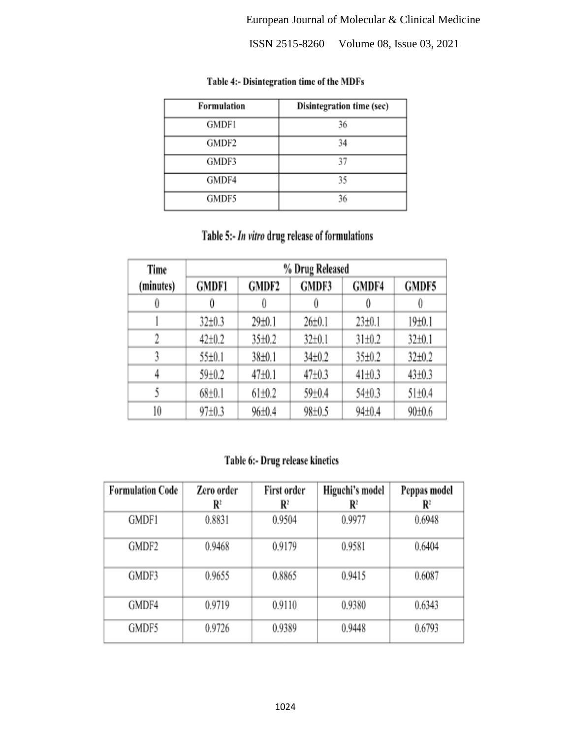ISSN 2515-8260 Volume 08, Issue 03, 2021

| <b>Formulation</b> | Disintegration time (sec) |
|--------------------|---------------------------|
| <b>GMDF1</b>       | 36                        |
| GMDF2              | 34                        |
| GMDF3              | 37                        |
| GMDF4              | 35                        |
| GMDF5              | 36                        |

#### Table 4:- Disintegration time of the MDFs

## Table 5:- In vitro drug release of formulations

| Time      | % Drug Released |                    |              |              |              |  |  |  |  |  |
|-----------|-----------------|--------------------|--------------|--------------|--------------|--|--|--|--|--|
| (minutes) | <b>GMDF1</b>    | GMDF2              | GMDF3        | GMDF4        | GMDF5        |  |  |  |  |  |
| 0         |                 |                    |              | 0            | 0            |  |  |  |  |  |
|           | $32 \pm 0.3$    | 29±0.1             | $26 \pm 0.1$ | 23±0.1       | 19±0.1       |  |  |  |  |  |
| 2         | $42 \pm 0.2$    | 35±0.2             | $32 \pm 0.1$ | $31 \pm 0.2$ | 32±0.1       |  |  |  |  |  |
|           | 55±0.1          | 38±0.1             | $34\pm0.2$   | 35±0.2       | $32\pm0.2$   |  |  |  |  |  |
| 4         | 59±0.2          | 47 <sub>±0.1</sub> | $47 + 0.3$   | $41 \pm 0.3$ | $43 \pm 0.3$ |  |  |  |  |  |
|           | $68{\pm}0.1$    | $61 \pm 0.2$       | 59±0.4       | 54±0.3       | $51 \pm 0.4$ |  |  |  |  |  |
| 10        | 97±0.3          | 96±0.4             | 98±0.5       | $94 \pm 0.4$ | 90±0.6       |  |  |  |  |  |

## Table 6:- Drug release kinetics

| <b>Formulation Code</b> | Zero order              | First order    | Higuchi's model | Peppas model            |
|-------------------------|-------------------------|----------------|-----------------|-------------------------|
|                         | $\mathbf{R}^{\text{r}}$ | $\mathbf{R}^2$ | $\mathbf{R}^2$  | $\mathbf{R}^{\text{r}}$ |
| GMDF1                   | 0.8831                  | 0.9504         | 0.9977          | 0.6948                  |
| GMDF2                   | 0.9468                  | 0.9179         | 0.9581          | 0.6404                  |
| GMDF3                   | 0.9655                  | 0.8865         | 0.9415          | 0.6087                  |
| GMDF4                   | 0.9719                  | 0.9110         | 0.9380          | 0.6343                  |
| GMDF5                   | 0.9726                  | 0.9389         | 0.9448          | 0.6793                  |